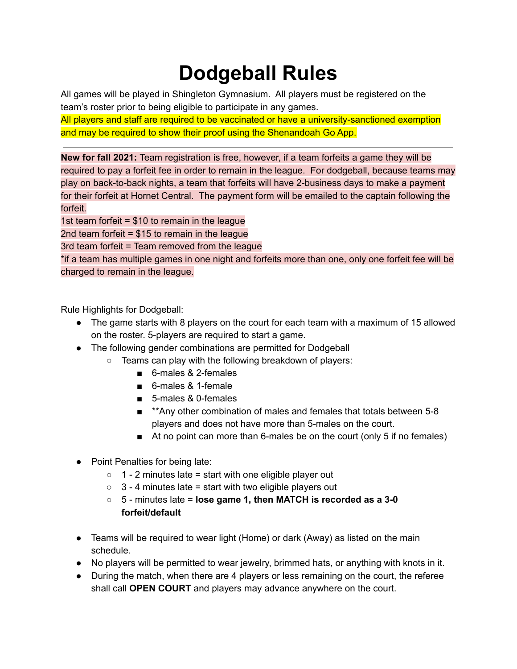## **Dodgeball Rules**

All games will be played in Shingleton Gymnasium. All players must be registered on the team's roster prior to being eligible to participate in any games.

All players and staff are required to be vaccinated or have a university-sanctioned exemption and may be required to show their proof using the Shenandoah Go App.

**New for fall 2021:** Team registration is free, however, if a team forfeits a game they will be required to pay a forfeit fee in order to remain in the league. For dodgeball, because teams may play on back-to-back nights, a team that forfeits will have 2-business days to make a payment for their forfeit at Hornet Central. The payment form will be emailed to the captain following the forfeit.

1st team forfeit = \$10 to remain in the league

2nd team forfeit  $= $15$  to remain in the league

3rd team forfeit = Team removed from the league

\*if a team has multiple games in one night and forfeits more than one, only one forfeit fee will be charged to remain in the league.

Rule Highlights for Dodgeball:

- The game starts with 8 players on the court for each team with a maximum of 15 allowed on the roster. 5-players are required to start a game.
- The following gender combinations are permitted for Dodgeball
	- Teams can play with the following breakdown of players:
		- 6-males & 2-females
		- 6-males & 1-female
		- 5-males & 0-females
		- **\*\*Any other combination of males and females that totals between 5-8** players and does not have more than 5-males on the court.
		- At no point can more than 6-males be on the court (only 5 if no females)
- Point Penalties for being late:
	- $\circ$  1 2 minutes late = start with one eligible player out
	- $\circ$  3 4 minutes late = start with two eligible players out
	- 5 minutes late = **lose game 1, then MATCH is recorded as a 3-0 forfeit/default**
- Teams will be required to wear light (Home) or dark (Away) as listed on the main schedule.
- No players will be permitted to wear jewelry, brimmed hats, or anything with knots in it.
- During the match, when there are 4 players or less remaining on the court, the referee shall call **OPEN COURT** and players may advance anywhere on the court.